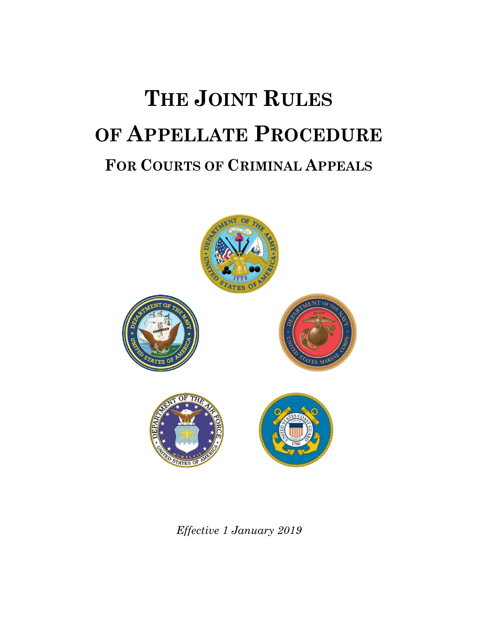# **THE JOINT RULES OF APPELLATE PROCEDURE FOR COURTS OF CRIMINAL APPEALS**



*Effective 1 January 2019*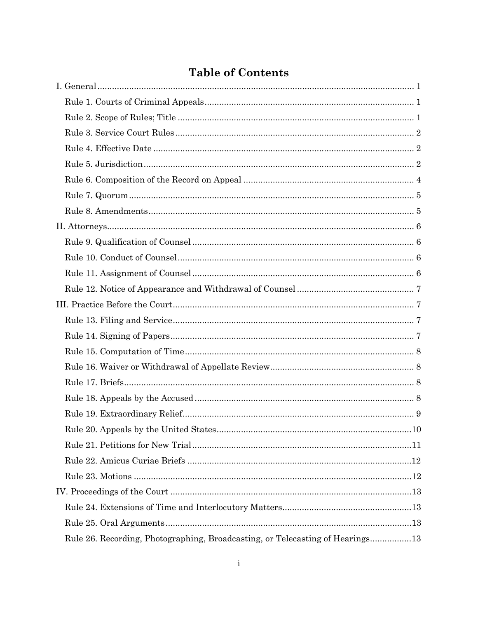|  | <b>Table of Contents</b> |
|--|--------------------------|
|--|--------------------------|

| .10                                                                           |
|-------------------------------------------------------------------------------|
|                                                                               |
|                                                                               |
|                                                                               |
|                                                                               |
|                                                                               |
|                                                                               |
| Rule 26. Recording, Photographing, Broadcasting, or Telecasting of Hearings13 |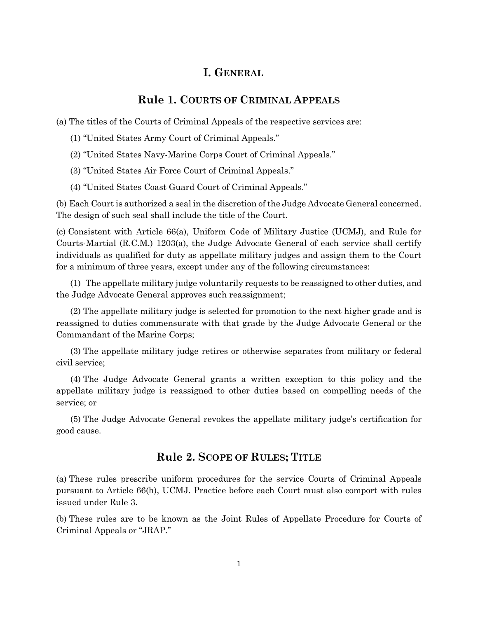#### **I. GENERAL**

# **Rule 1. COURTS OF CRIMINAL APPEALS**

<span id="page-3-1"></span><span id="page-3-0"></span>(a) The titles of the Courts of Criminal Appeals of the respective services are:

- (1) "United States Army Court of Criminal Appeals."
- (2) "United States Navy-Marine Corps Court of Criminal Appeals."
- (3) "United States Air Force Court of Criminal Appeals."
- (4) "United States Coast Guard Court of Criminal Appeals."

(b) Each Court is authorized a seal in the discretion of the Judge Advocate General concerned. The design of such seal shall include the title of the Court.

(c) Consistent with Article 66(a), Uniform Code of Military Justice (UCMJ), and Rule for Courts-Martial (R.C.M.) 1203(a), the Judge Advocate General of each service shall certify individuals as qualified for duty as appellate military judges and assign them to the Court for a minimum of three years, except under any of the following circumstances:

(1) The appellate military judge voluntarily requests to be reassigned to other duties, and the Judge Advocate General approves such reassignment;

(2) The appellate military judge is selected for promotion to the next higher grade and is reassigned to duties commensurate with that grade by the Judge Advocate General or the Commandant of the Marine Corps;

(3) The appellate military judge retires or otherwise separates from military or federal civil service;

(4) The Judge Advocate General grants a written exception to this policy and the appellate military judge is reassigned to other duties based on compelling needs of the service; or

<span id="page-3-2"></span>(5) The Judge Advocate General revokes the appellate military judge's certification for good cause.

# **Rule 2. SCOPE OF RULES; TITLE**

(a) These rules prescribe uniform procedures for the service Courts of Criminal Appeals pursuant to Article 66(h), UCMJ. Practice before each Court must also comport with rules issued under Rule 3.

(b) These rules are to be known as the Joint Rules of Appellate Procedure for Courts of Criminal Appeals or "JRAP."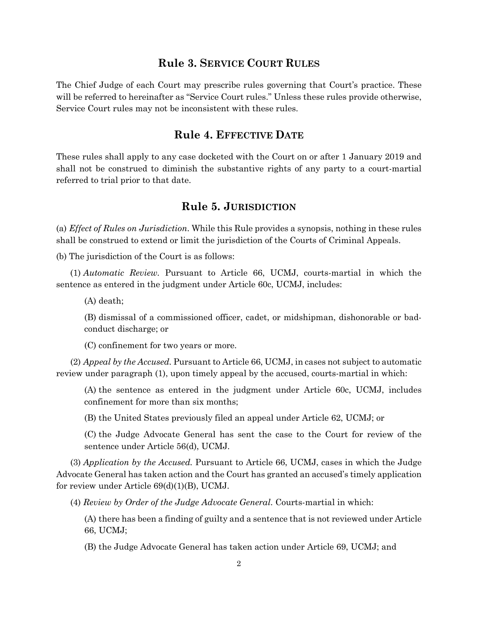#### **Rule 3. SERVICE COURT RULES**

<span id="page-4-0"></span>The Chief Judge of each Court may prescribe rules governing that Court's practice. These will be referred to hereinafter as "Service Court rules." Unless these rules provide otherwise, Service Court rules may not be inconsistent with these rules.

#### **Rule 4. EFFECTIVE DATE**

<span id="page-4-1"></span>These rules shall apply to any case docketed with the Court on or after 1 January 2019 and shall not be construed to diminish the substantive rights of any party to a court-martial referred to trial prior to that date.

# **Rule 5. JURISDICTION**

<span id="page-4-2"></span>(a) *Effect of Rules on Jurisdiction*. While this Rule provides a synopsis, nothing in these rules shall be construed to extend or limit the jurisdiction of the Courts of Criminal Appeals.

(b) The jurisdiction of the Court is as follows:

(1) *Automatic Review.* Pursuant to Article 66, UCMJ, courts-martial in which the sentence as entered in the judgment under Article 60c, UCMJ, includes:

(A) death;

(B) dismissal of a commissioned officer, cadet, or midshipman, dishonorable or badconduct discharge; or

(C) confinement for two years or more.

(2) *Appeal by the Accused.* Pursuant to Article 66, UCMJ, in cases not subject to automatic review under paragraph (1), upon timely appeal by the accused, courts-martial in which:

(A) the sentence as entered in the judgment under Article 60c, UCMJ, includes confinement for more than six months;

(B) the United States previously filed an appeal under Article 62, UCMJ; or

(C) the Judge Advocate General has sent the case to the Court for review of the sentence under Article 56(d), UCMJ.

(3) *Application by the Accused.* Pursuant to Article 66, UCMJ, cases in which the Judge Advocate General has taken action and the Court has granted an accused's timely application for review under Article 69(d)(1)(B), UCMJ.

(4) *Review by Order of the Judge Advocate General*. Courts-martial in which:

(A) there has been a finding of guilty and a sentence that is not reviewed under Article 66, UCMJ;

(B) the Judge Advocate General has taken action under Article 69, UCMJ; and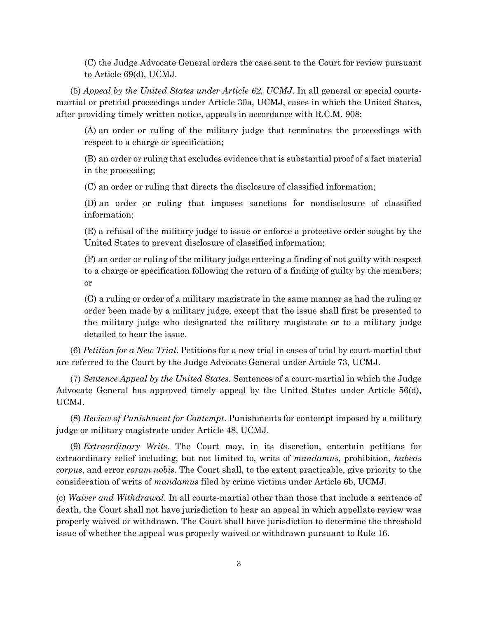(C) the Judge Advocate General orders the case sent to the Court for review pursuant to Article 69(d), UCMJ.

(5) *Appeal by the United States under Article 62, UCMJ*. In all general or special courtsmartial or pretrial proceedings under Article 30a, UCMJ, cases in which the United States, after providing timely written notice, appeals in accordance with R.C.M. 908:

(A) an order or ruling of the military judge that terminates the proceedings with respect to a charge or specification;

(B) an order or ruling that excludes evidence that is substantial proof of a fact material in the proceeding;

(C) an order or ruling that directs the disclosure of classified information;

(D) an order or ruling that imposes sanctions for nondisclosure of classified information;

(E) a refusal of the military judge to issue or enforce a protective order sought by the United States to prevent disclosure of classified information;

(F) an order or ruling of the military judge entering a finding of not guilty with respect to a charge or specification following the return of a finding of guilty by the members; or

(G) a ruling or order of a military magistrate in the same manner as had the ruling or order been made by a military judge, except that the issue shall first be presented to the military judge who designated the military magistrate or to a military judge detailed to hear the issue.

(6) *Petition for a New Trial*. Petitions for a new trial in cases of trial by court-martial that are referred to the Court by the Judge Advocate General under Article 73, UCMJ.

(7) *Sentence Appeal by the United States.* Sentences of a court-martial in which the Judge Advocate General has approved timely appeal by the United States under Article 56(d), UCMJ.

(8) *Review of Punishment for Contempt*. Punishments for contempt imposed by a military judge or military magistrate under Article 48, UCMJ.

(9) *Extraordinary Writs.* The Court may, in its discretion, entertain petitions for extraordinary relief including, but not limited to, writs of *mandamus*, prohibition, *habeas corpus*, and error *coram nobis*. The Court shall, to the extent practicable, give priority to the consideration of writs of *mandamus* filed by crime victims under Article 6b, UCMJ.

(c) *Waiver and Withdrawal.* In all courts-martial other than those that include a sentence of death, the Court shall not have jurisdiction to hear an appeal in which appellate review was properly waived or withdrawn. The Court shall have jurisdiction to determine the threshold issue of whether the appeal was properly waived or withdrawn pursuant to Rule 16.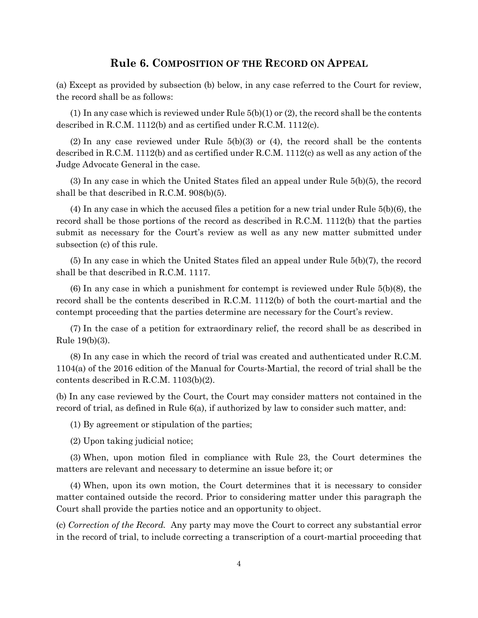#### **Rule 6. COMPOSITION OF THE RECORD ON APPEAL**

<span id="page-6-0"></span>(a) Except as provided by subsection (b) below, in any case referred to the Court for review, the record shall be as follows:

(1) In any case which is reviewed under Rule  $5(b)(1)$  or (2), the record shall be the contents described in R.C.M. 1112(b) and as certified under R.C.M. 1112(c).

 $(2)$  In any case reviewed under Rule  $5(b)(3)$  or  $(4)$ , the record shall be the contents described in R.C.M. 1112(b) and as certified under R.C.M. 1112(c) as well as any action of the Judge Advocate General in the case.

(3) In any case in which the United States filed an appeal under Rule 5(b)(5), the record shall be that described in R.C.M. 908(b)(5).

(4) In any case in which the accused files a petition for a new trial under Rule 5(b)(6), the record shall be those portions of the record as described in R.C.M. 1112(b) that the parties submit as necessary for the Court's review as well as any new matter submitted under subsection (c) of this rule.

(5) In any case in which the United States filed an appeal under Rule 5(b)(7), the record shall be that described in R.C.M. 1117.

(6) In any case in which a punishment for contempt is reviewed under Rule 5(b)(8), the record shall be the contents described in R.C.M. 1112(b) of both the court-martial and the contempt proceeding that the parties determine are necessary for the Court's review.

(7) In the case of a petition for extraordinary relief, the record shall be as described in Rule 19(b)(3).

(8) In any case in which the record of trial was created and authenticated under R.C.M. 1104(a) of the 2016 edition of the Manual for Courts-Martial, the record of trial shall be the contents described in R.C.M. 1103(b)(2).

(b) In any case reviewed by the Court, the Court may consider matters not contained in the record of trial, as defined in Rule 6(a), if authorized by law to consider such matter, and:

(1) By agreement or stipulation of the parties;

(2) Upon taking judicial notice;

(3) When, upon motion filed in compliance with Rule 23, the Court determines the matters are relevant and necessary to determine an issue before it; or

(4) When, upon its own motion, the Court determines that it is necessary to consider matter contained outside the record. Prior to considering matter under this paragraph the Court shall provide the parties notice and an opportunity to object.

(c) *Correction of the Record.* Any party may move the Court to correct any substantial error in the record of trial, to include correcting a transcription of a court-martial proceeding that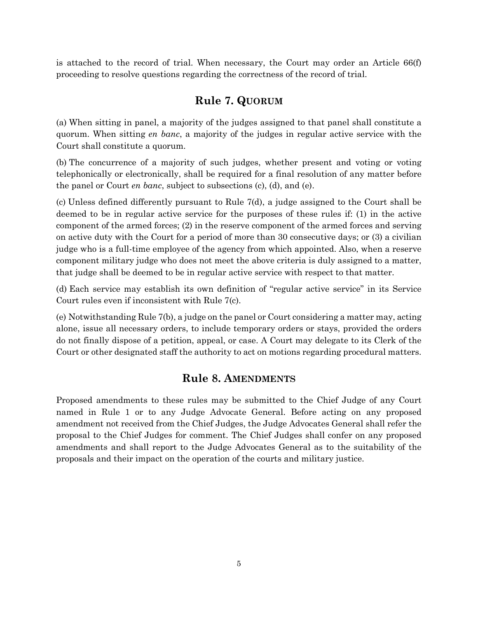<span id="page-7-0"></span>is attached to the record of trial. When necessary, the Court may order an Article 66(f) proceeding to resolve questions regarding the correctness of the record of trial.

# **Rule 7. QUORUM**

(a) When sitting in panel, a majority of the judges assigned to that panel shall constitute a quorum. When sitting *en banc*, a majority of the judges in regular active service with the Court shall constitute a quorum.

(b) The concurrence of a majority of such judges, whether present and voting or voting telephonically or electronically, shall be required for a final resolution of any matter before the panel or Court *en banc*, subject to subsections (c), (d), and (e).

(c) Unless defined differently pursuant to Rule 7(d), a judge assigned to the Court shall be deemed to be in regular active service for the purposes of these rules if: (1) in the active component of the armed forces; (2) in the reserve component of the armed forces and serving on active duty with the Court for a period of more than 30 consecutive days; or (3) a civilian judge who is a full-time employee of the agency from which appointed. Also, when a reserve component military judge who does not meet the above criteria is duly assigned to a matter, that judge shall be deemed to be in regular active service with respect to that matter.

(d) Each service may establish its own definition of "regular active service" in its Service Court rules even if inconsistent with Rule 7(c).

(e) Notwithstanding Rule 7(b), a judge on the panel or Court considering a matter may, acting alone, issue all necessary orders, to include temporary orders or stays, provided the orders do not finally dispose of a petition, appeal, or case. A Court may delegate to its Clerk of the Court or other designated staff the authority to act on motions regarding procedural matters.

#### **Rule 8. AMENDMENTS**

<span id="page-7-1"></span>Proposed amendments to these rules may be submitted to the Chief Judge of any Court named in Rule 1 or to any Judge Advocate General. Before acting on any proposed amendment not received from the Chief Judges, the Judge Advocates General shall refer the proposal to the Chief Judges for comment. The Chief Judges shall confer on any proposed amendments and shall report to the Judge Advocates General as to the suitability of the proposals and their impact on the operation of the courts and military justice.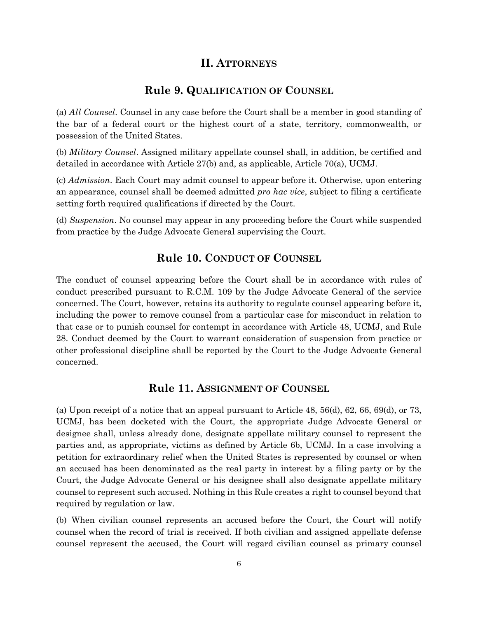# **II. ATTORNEYS**

#### **Rule 9. QUALIFICATION OF COUNSEL**

<span id="page-8-1"></span><span id="page-8-0"></span>(a) *All Counsel*. Counsel in any case before the Court shall be a member in good standing of the bar of a federal court or the highest court of a state, territory, commonwealth, or possession of the United States.

(b) *Military Counsel*. Assigned military appellate counsel shall, in addition, be certified and detailed in accordance with Article 27(b) and, as applicable, Article 70(a), UCMJ.

(c) *Admission*. Each Court may admit counsel to appear before it. Otherwise, upon entering an appearance, counsel shall be deemed admitted *pro hac vice*, subject to filing a certificate setting forth required qualifications if directed by the Court.

<span id="page-8-2"></span>(d) *Suspension*. No counsel may appear in any proceeding before the Court while suspended from practice by the Judge Advocate General supervising the Court.

#### **Rule 10. CONDUCT OF COUNSEL**

The conduct of counsel appearing before the Court shall be in accordance with rules of conduct prescribed pursuant to R.C.M. 109 by the Judge Advocate General of the service concerned. The Court, however, retains its authority to regulate counsel appearing before it, including the power to remove counsel from a particular case for misconduct in relation to that case or to punish counsel for contempt in accordance with Article 48, UCMJ, and Rule 28. Conduct deemed by the Court to warrant consideration of suspension from practice or other professional discipline shall be reported by the Court to the Judge Advocate General concerned.

#### **Rule 11. ASSIGNMENT OF COUNSEL**

<span id="page-8-3"></span>(a) Upon receipt of a notice that an appeal pursuant to Article 48, 56(d), 62, 66, 69(d), or 73, UCMJ, has been docketed with the Court, the appropriate Judge Advocate General or designee shall, unless already done, designate appellate military counsel to represent the parties and, as appropriate, victims as defined by Article 6b, UCMJ. In a case involving a petition for extraordinary relief when the United States is represented by counsel or when an accused has been denominated as the real party in interest by a filing party or by the Court, the Judge Advocate General or his designee shall also designate appellate military counsel to represent such accused. Nothing in this Rule creates a right to counsel beyond that required by regulation or law.

(b) When civilian counsel represents an accused before the Court, the Court will notify counsel when the record of trial is received. If both civilian and assigned appellate defense counsel represent the accused, the Court will regard civilian counsel as primary counsel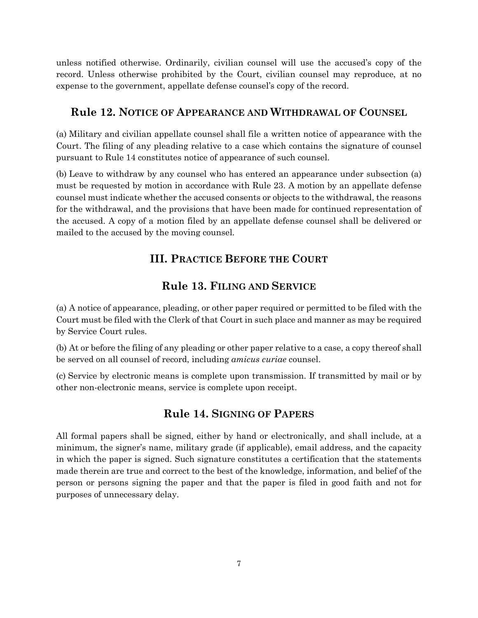unless notified otherwise. Ordinarily, civilian counsel will use the accused's copy of the record. Unless otherwise prohibited by the Court, civilian counsel may reproduce, at no expense to the government, appellate defense counsel's copy of the record.

#### <span id="page-9-0"></span>**Rule 12. NOTICE OF APPEARANCE AND WITHDRAWAL OF COUNSEL**

(a) Military and civilian appellate counsel shall file a written notice of appearance with the Court. The filing of any pleading relative to a case which contains the signature of counsel pursuant to Rule 14 constitutes notice of appearance of such counsel.

(b) Leave to withdraw by any counsel who has entered an appearance under subsection (a) must be requested by motion in accordance with Rule 23. A motion by an appellate defense counsel must indicate whether the accused consents or objects to the withdrawal, the reasons for the withdrawal, and the provisions that have been made for continued representation of the accused. A copy of a motion filed by an appellate defense counsel shall be delivered or mailed to the accused by the moving counsel.

# **III. PRACTICE BEFORE THE COURT**

# **Rule 13. FILING AND SERVICE**

<span id="page-9-2"></span><span id="page-9-1"></span>(a) A notice of appearance, pleading, or other paper required or permitted to be filed with the Court must be filed with the Clerk of that Court in such place and manner as may be required by Service Court rules.

(b) At or before the filing of any pleading or other paper relative to a case, a copy thereof shall be served on all counsel of record, including *amicus curiae* counsel.

<span id="page-9-3"></span>(c) Service by electronic means is complete upon transmission. If transmitted by mail or by other non-electronic means, service is complete upon receipt.

#### **Rule 14. SIGNING OF PAPERS**

All formal papers shall be signed, either by hand or electronically, and shall include, at a minimum, the signer's name, military grade (if applicable), email address, and the capacity in which the paper is signed. Such signature constitutes a certification that the statements made therein are true and correct to the best of the knowledge, information, and belief of the person or persons signing the paper and that the paper is filed in good faith and not for purposes of unnecessary delay.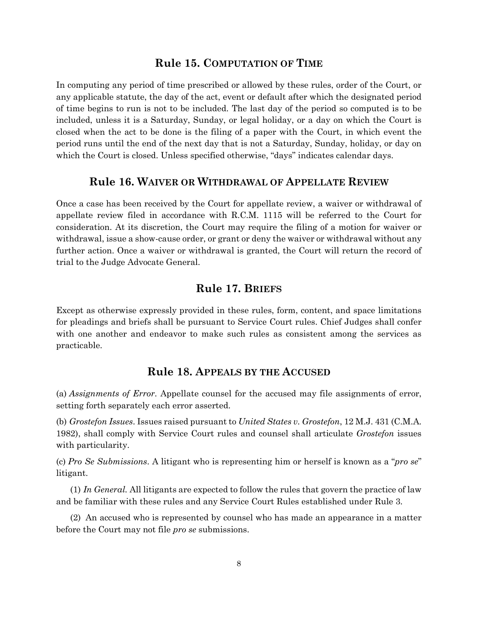#### **Rule 15. COMPUTATION OF TIME**

<span id="page-10-0"></span>In computing any period of time prescribed or allowed by these rules, order of the Court, or any applicable statute, the day of the act, event or default after which the designated period of time begins to run is not to be included. The last day of the period so computed is to be included, unless it is a Saturday, Sunday, or legal holiday, or a day on which the Court is closed when the act to be done is the filing of a paper with the Court, in which event the period runs until the end of the next day that is not a Saturday, Sunday, holiday, or day on which the Court is closed. Unless specified otherwise, "days" indicates calendar days.

#### **Rule 16. WAIVER OR WITHDRAWAL OF APPELLATE REVIEW**

<span id="page-10-1"></span>Once a case has been received by the Court for appellate review, a waiver or withdrawal of appellate review filed in accordance with R.C.M. 1115 will be referred to the Court for consideration. At its discretion, the Court may require the filing of a motion for waiver or withdrawal, issue a show-cause order, or grant or deny the waiver or withdrawal without any further action. Once a waiver or withdrawal is granted, the Court will return the record of trial to the Judge Advocate General.

# **Rule 17. BRIEFS**

<span id="page-10-2"></span>Except as otherwise expressly provided in these rules, form, content, and space limitations for pleadings and briefs shall be pursuant to Service Court rules. Chief Judges shall confer with one another and endeavor to make such rules as consistent among the services as practicable.

#### **Rule 18. APPEALS BY THE ACCUSED**

<span id="page-10-3"></span>(a) *Assignments of Error*. Appellate counsel for the accused may file assignments of error, setting forth separately each error asserted.

(b) *Grostefon Issues*. Issues raised pursuant to *United States v. Grostefon*, 12 M.J. 431 (C.M.A. 1982), shall comply with Service Court rules and counsel shall articulate *Grostefon* issues with particularity.

(c) *Pro Se Submissions*. A litigant who is representing him or herself is known as a "*pro se*" litigant.

(1) *In General.* All litigants are expected to follow the rules that govern the practice of law and be familiar with these rules and any Service Court Rules established under Rule 3.

(2) An accused who is represented by counsel who has made an appearance in a matter before the Court may not file *pro se* submissions.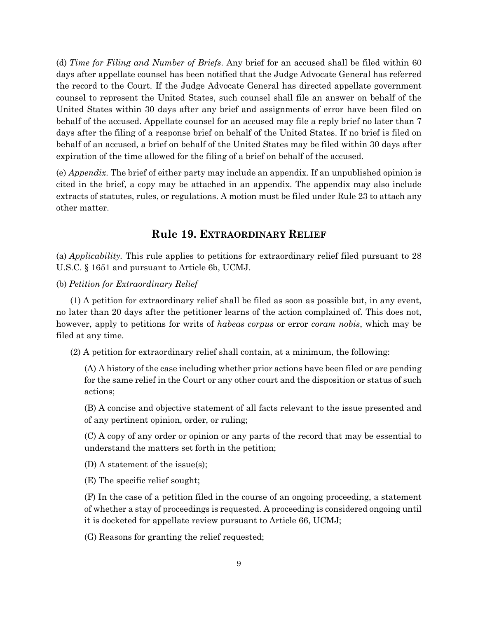(d) *Time for Filing and Number of Briefs*. Any brief for an accused shall be filed within 60 days after appellate counsel has been notified that the Judge Advocate General has referred the record to the Court. If the Judge Advocate General has directed appellate government counsel to represent the United States, such counsel shall file an answer on behalf of the United States within 30 days after any brief and assignments of error have been filed on behalf of the accused. Appellate counsel for an accused may file a reply brief no later than 7 days after the filing of a response brief on behalf of the United States. If no brief is filed on behalf of an accused, a brief on behalf of the United States may be filed within 30 days after expiration of the time allowed for the filing of a brief on behalf of the accused.

(e) *Appendix*. The brief of either party may include an appendix. If an unpublished opinion is cited in the brief, a copy may be attached in an appendix. The appendix may also include extracts of statutes, rules, or regulations. A motion must be filed under Rule 23 to attach any other matter.

## **Rule 19. EXTRAORDINARY RELIEF**

<span id="page-11-0"></span>(a) *Applicability.* This rule applies to petitions for extraordinary relief filed pursuant to 28 U.S.C. § 1651 and pursuant to Article 6b, UCMJ.

(b) *Petition for Extraordinary Relief*

(1) A petition for extraordinary relief shall be filed as soon as possible but, in any event, no later than 20 days after the petitioner learns of the action complained of. This does not, however, apply to petitions for writs of *habeas corpus* or error *coram nobis*, which may be filed at any time.

(2) A petition for extraordinary relief shall contain, at a minimum, the following:

(A) A history of the case including whether prior actions have been filed or are pending for the same relief in the Court or any other court and the disposition or status of such actions;

(B) A concise and objective statement of all facts relevant to the issue presented and of any pertinent opinion, order, or ruling;

(C) A copy of any order or opinion or any parts of the record that may be essential to understand the matters set forth in the petition;

(D) A statement of the issue(s);

(E) The specific relief sought;

(F) In the case of a petition filed in the course of an ongoing proceeding, a statement of whether a stay of proceedings is requested. A proceeding is considered ongoing until it is docketed for appellate review pursuant to Article 66, UCMJ;

(G) Reasons for granting the relief requested;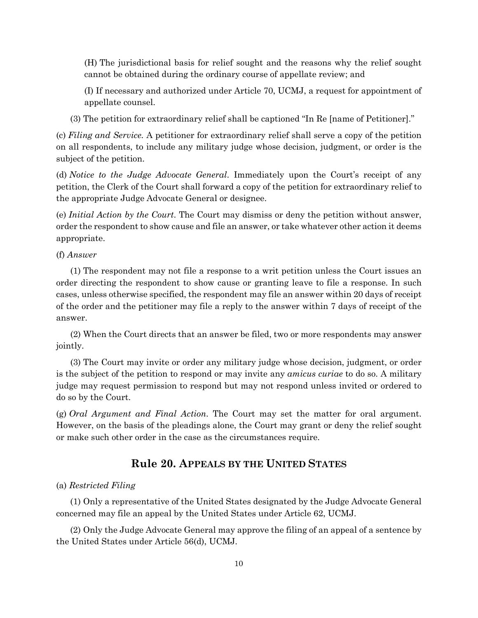(H) The jurisdictional basis for relief sought and the reasons why the relief sought cannot be obtained during the ordinary course of appellate review; and

(I) If necessary and authorized under Article 70, UCMJ, a request for appointment of appellate counsel.

(3) The petition for extraordinary relief shall be captioned "In Re [name of Petitioner]."

(c) *Filing and Service.* A petitioner for extraordinary relief shall serve a copy of the petition on all respondents, to include any military judge whose decision, judgment, or order is the subject of the petition.

(d) *Notice to the Judge Advocate General*. Immediately upon the Court's receipt of any petition, the Clerk of the Court shall forward a copy of the petition for extraordinary relief to the appropriate Judge Advocate General or designee.

(e) *Initial Action by the Court*. The Court may dismiss or deny the petition without answer, order the respondent to show cause and file an answer, or take whatever other action it deems appropriate.

(f) *Answer*

(1) The respondent may not file a response to a writ petition unless the Court issues an order directing the respondent to show cause or granting leave to file a response. In such cases, unless otherwise specified, the respondent may file an answer within 20 days of receipt of the order and the petitioner may file a reply to the answer within 7 days of receipt of the answer.

(2) When the Court directs that an answer be filed, two or more respondents may answer jointly.

(3) The Court may invite or order any military judge whose decision, judgment, or order is the subject of the petition to respond or may invite any *amicus curiae* to do so. A military judge may request permission to respond but may not respond unless invited or ordered to do so by the Court.

(g) *Oral Argument and Final Action*. The Court may set the matter for oral argument. However, on the basis of the pleadings alone, the Court may grant or deny the relief sought or make such other order in the case as the circumstances require.

## **Rule 20. APPEALS BY THE UNITED STATES**

#### <span id="page-12-0"></span>(a) *Restricted Filing*

(1) Only a representative of the United States designated by the Judge Advocate General concerned may file an appeal by the United States under Article 62, UCMJ.

(2) Only the Judge Advocate General may approve the filing of an appeal of a sentence by the United States under Article 56(d), UCMJ.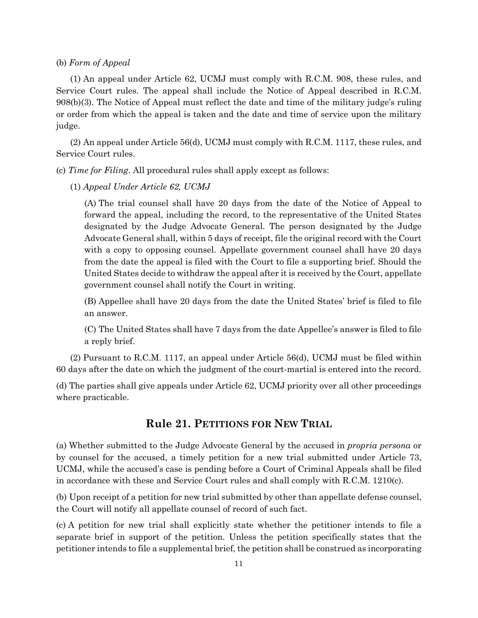#### (b) *Form of Appeal*

(1) An appeal under Article 62, UCMJ must comply with R.C.M. 908, these rules, and Service Court rules. The appeal shall include the Notice of Appeal described in R.C.M. 908(b)(3). The Notice of Appeal must reflect the date and time of the military judge's ruling or order from which the appeal is taken and the date and time of service upon the military judge.

(2) An appeal under Article 56(d), UCMJ must comply with R.C.M. 1117, these rules, and Service Court rules.

(c) *Time for Filing*. All procedural rules shall apply except as follows:

(1) *Appeal Under Article 62, UCMJ*

(A) The trial counsel shall have 20 days from the date of the Notice of Appeal to forward the appeal, including the record, to the representative of the United States designated by the Judge Advocate General. The person designated by the Judge Advocate General shall, within 5 days of receipt, file the original record with the Court with a copy to opposing counsel. Appellate government counsel shall have 20 days from the date the appeal is filed with the Court to file a supporting brief. Should the United States decide to withdraw the appeal after it is received by the Court, appellate government counsel shall notify the Court in writing.

(B) Appellee shall have 20 days from the date the United States' brief is filed to file an answer.

(C) The United States shall have 7 days from the date Appellee's answer is filed to file a reply brief.

(2) Pursuant to R.C.M. 1117, an appeal under Article 56(d), UCMJ must be filed within 60 days after the date on which the judgment of the court-martial is entered into the record.

<span id="page-13-0"></span>(d) The parties shall give appeals under Article 62, UCMJ priority over all other proceedings where practicable.

# **Rule 21. PETITIONS FOR NEW TRIAL**

(a) Whether submitted to the Judge Advocate General by the accused in *propria persona* or by counsel for the accused, a timely petition for a new trial submitted under Article 73, UCMJ, while the accused's case is pending before a Court of Criminal Appeals shall be filed in accordance with these and Service Court rules and shall comply with R.C.M. 1210(c).

(b) Upon receipt of a petition for new trial submitted by other than appellate defense counsel, the Court will notify all appellate counsel of record of such fact.

(c) A petition for new trial shall explicitly state whether the petitioner intends to file a separate brief in support of the petition. Unless the petition specifically states that the petitioner intends to file a supplemental brief, the petition shall be construed as incorporating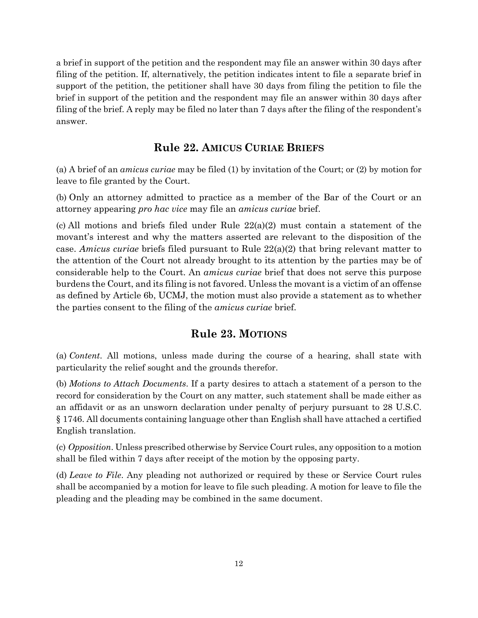a brief in support of the petition and the respondent may file an answer within 30 days after filing of the petition. If, alternatively, the petition indicates intent to file a separate brief in support of the petition, the petitioner shall have 30 days from filing the petition to file the brief in support of the petition and the respondent may file an answer within 30 days after filing of the brief. A reply may be filed no later than 7 days after the filing of the respondent's answer.

## **Rule 22. AMICUS CURIAE BRIEFS**

<span id="page-14-0"></span>(a) A brief of an *amicus curiae* may be filed (1) by invitation of the Court; or (2) by motion for leave to file granted by the Court.

(b) Only an attorney admitted to practice as a member of the Bar of the Court or an attorney appearing *pro hac vice* may file an *amicus curiae* brief.

(c) All motions and briefs filed under Rule  $22(a)(2)$  must contain a statement of the movant's interest and why the matters asserted are relevant to the disposition of the case. *Amicus curiae* briefs filed pursuant to Rule 22(a)(2) that bring relevant matter to the attention of the Court not already brought to its attention by the parties may be of considerable help to the Court. An *amicus curiae* brief that does not serve this purpose burdens the Court, and its filing is not favored. Unless the movant is a victim of an offense as defined by Article 6b, UCMJ, the motion must also provide a statement as to whether the parties consent to the filing of the *amicus curiae* brief.

# **Rule 23. MOTIONS**

<span id="page-14-1"></span>(a) *Content*. All motions, unless made during the course of a hearing, shall state with particularity the relief sought and the grounds therefor.

(b) *Motions to Attach Documents*. If a party desires to attach a statement of a person to the record for consideration by the Court on any matter, such statement shall be made either as an affidavit or as an unsworn declaration under penalty of perjury pursuant to 28 U.S.C. § 1746. All documents containing language other than English shall have attached a certified English translation.

(c) *Opposition*. Unless prescribed otherwise by Service Court rules, any opposition to a motion shall be filed within 7 days after receipt of the motion by the opposing party.

(d) *Leave to File*. Any pleading not authorized or required by these or Service Court rules shall be accompanied by a motion for leave to file such pleading. A motion for leave to file the pleading and the pleading may be combined in the same document.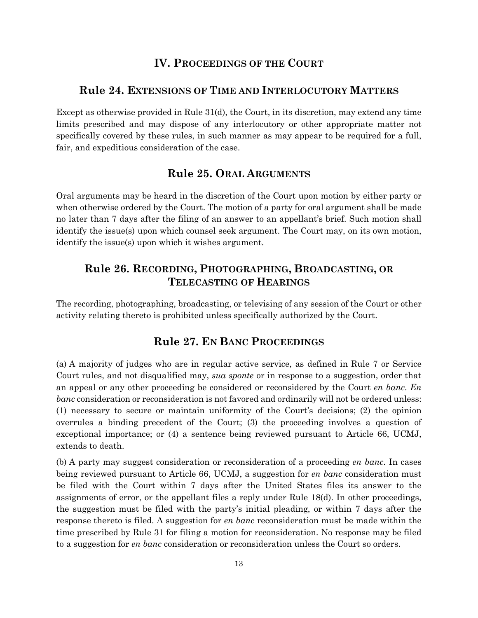# **IV. PROCEEDINGS OF THE COURT**

#### <span id="page-15-1"></span><span id="page-15-0"></span>**Rule 24. EXTENSIONS OF TIME AND INTERLOCUTORY MATTERS**

Except as otherwise provided in Rule 31(d), the Court, in its discretion, may extend any time limits prescribed and may dispose of any interlocutory or other appropriate matter not specifically covered by these rules, in such manner as may appear to be required for a full, fair, and expeditious consideration of the case.

#### **Rule 25. ORAL ARGUMENTS**

<span id="page-15-2"></span>Oral arguments may be heard in the discretion of the Court upon motion by either party or when otherwise ordered by the Court. The motion of a party for oral argument shall be made no later than 7 days after the filing of an answer to an appellant's brief. Such motion shall identify the issue(s) upon which counsel seek argument. The Court may, on its own motion, identify the issue(s) upon which it wishes argument.

# <span id="page-15-3"></span>**Rule 26. RECORDING, PHOTOGRAPHING, BROADCASTING, OR TELECASTING OF HEARINGS**

<span id="page-15-4"></span>The recording, photographing, broadcasting, or televising of any session of the Court or other activity relating thereto is prohibited unless specifically authorized by the Court.

# **Rule 27. EN BANC PROCEEDINGS**

(a) A majority of judges who are in regular active service, as defined in Rule 7 or Service Court rules, and not disqualified may, *sua sponte* or in response to a suggestion, order that an appeal or any other proceeding be considered or reconsidered by the Court *en banc*. *En banc* consideration or reconsideration is not favored and ordinarily will not be ordered unless: (1) necessary to secure or maintain uniformity of the Court's decisions; (2) the opinion overrules a binding precedent of the Court; (3) the proceeding involves a question of exceptional importance; or (4) a sentence being reviewed pursuant to Article 66, UCMJ, extends to death.

(b) A party may suggest consideration or reconsideration of a proceeding *en banc*. In cases being reviewed pursuant to Article 66, UCMJ, a suggestion for *en banc* consideration must be filed with the Court within 7 days after the United States files its answer to the assignments of error, or the appellant files a reply under Rule 18(d). In other proceedings, the suggestion must be filed with the party's initial pleading, or within 7 days after the response thereto is filed. A suggestion for *en banc* reconsideration must be made within the time prescribed by Rule 31 for filing a motion for reconsideration. No response may be filed to a suggestion for *en banc* consideration or reconsideration unless the Court so orders.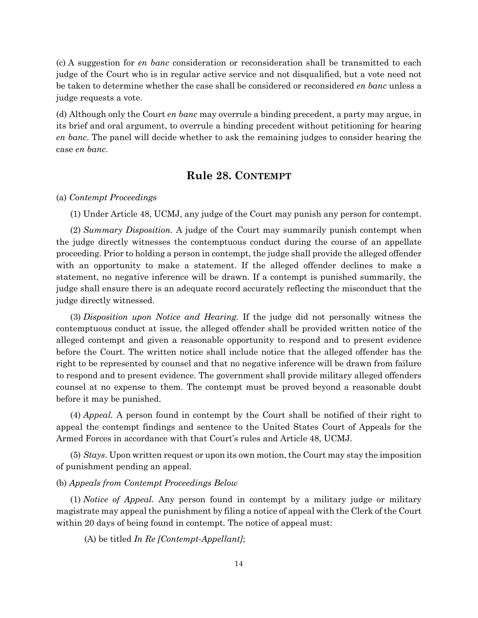(c) A suggestion for *en banc* consideration or reconsideration shall be transmitted to each judge of the Court who is in regular active service and not disqualified, but a vote need not be taken to determine whether the case shall be considered or reconsidered *en banc* unless a judge requests a vote.

(d) Although only the Court *en banc* may overrule a binding precedent, a party may argue, in its brief and oral argument, to overrule a binding precedent without petitioning for hearing *en banc*. The panel will decide whether to ask the remaining judges to consider hearing the case *en banc*.

#### **Rule 28. CONTEMPT**

#### <span id="page-16-0"></span>(a) *Contempt Proceedings*

(1) Under Article 48, UCMJ, any judge of the Court may punish any person for contempt.

(2) *Summary Disposition.* A judge of the Court may summarily punish contempt when the judge directly witnesses the contemptuous conduct during the course of an appellate proceeding. Prior to holding a person in contempt, the judge shall provide the alleged offender with an opportunity to make a statement. If the alleged offender declines to make a statement, no negative inference will be drawn. If a contempt is punished summarily, the judge shall ensure there is an adequate record accurately reflecting the misconduct that the judge directly witnessed.

(3) *Disposition upon Notice and Hearing.* If the judge did not personally witness the contemptuous conduct at issue, the alleged offender shall be provided written notice of the alleged contempt and given a reasonable opportunity to respond and to present evidence before the Court. The written notice shall include notice that the alleged offender has the right to be represented by counsel and that no negative inference will be drawn from failure to respond and to present evidence. The government shall provide military alleged offenders counsel at no expense to them. The contempt must be proved beyond a reasonable doubt before it may be punished.

(4) *Appeal.* A person found in contempt by the Court shall be notified of their right to appeal the contempt findings and sentence to the United States Court of Appeals for the Armed Forces in accordance with that Court's rules and Article 48, UCMJ.

(5) *Stays*. Upon written request or upon its own motion, the Court may stay the imposition of punishment pending an appeal.

#### (b) *Appeals from Contempt Proceedings Below*

(1) *Notice of Appeal.* Any person found in contempt by a military judge or military magistrate may appeal the punishment by filing a notice of appeal with the Clerk of the Court within 20 days of being found in contempt. The notice of appeal must:

(A) be titled *In Re [Contempt-Appellant]*;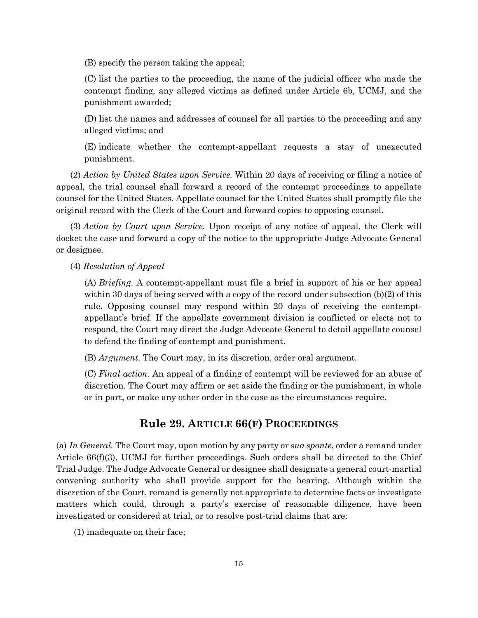(B) specify the person taking the appeal;

(C) list the parties to the proceeding, the name of the judicial officer who made the contempt finding, any alleged victims as defined under Article 6b, UCMJ, and the punishment awarded;

(D) list the names and addresses of counsel for all parties to the proceeding and any alleged victims; and

(E) indicate whether the contempt-appellant requests a stay of unexecuted punishment.

(2) *Action by United States upon Service.* Within 20 days of receiving or filing a notice of appeal, the trial counsel shall forward a record of the contempt proceedings to appellate counsel for the United States. Appellate counsel for the United States shall promptly file the original record with the Clerk of the Court and forward copies to opposing counsel.

(3) *Action by Court upon Service*. Upon receipt of any notice of appeal, the Clerk will docket the case and forward a copy of the notice to the appropriate Judge Advocate General or designee.

(4) *Resolution of Appeal*

(A) *Briefing*. A contempt-appellant must file a brief in support of his or her appeal within 30 days of being served with a copy of the record under subsection (b)(2) of this rule. Opposing counsel may respond within 20 days of receiving the contemptappellant's brief. If the appellate government division is conflicted or elects not to respond, the Court may direct the Judge Advocate General to detail appellate counsel to defend the finding of contempt and punishment.

(B) *Argument*. The Court may, in its discretion, order oral argument.

(C) *Final action*. An appeal of a finding of contempt will be reviewed for an abuse of discretion. The Court may affirm or set aside the finding or the punishment, in whole or in part, or make any other order in the case as the circumstances require.

#### **Rule 29. ARTICLE 66(F) PROCEEDINGS**

<span id="page-17-0"></span>(a) *In General.* The Court may, upon motion by any party or *sua sponte*, order a remand under Article 66(f)(3), UCMJ for further proceedings. Such orders shall be directed to the Chief Trial Judge. The Judge Advocate General or designee shall designate a general court-martial convening authority who shall provide support for the hearing. Although within the discretion of the Court, remand is generally not appropriate to determine facts or investigate matters which could, through a party's exercise of reasonable diligence, have been investigated or considered at trial, or to resolve post-trial claims that are:

(1) inadequate on their face;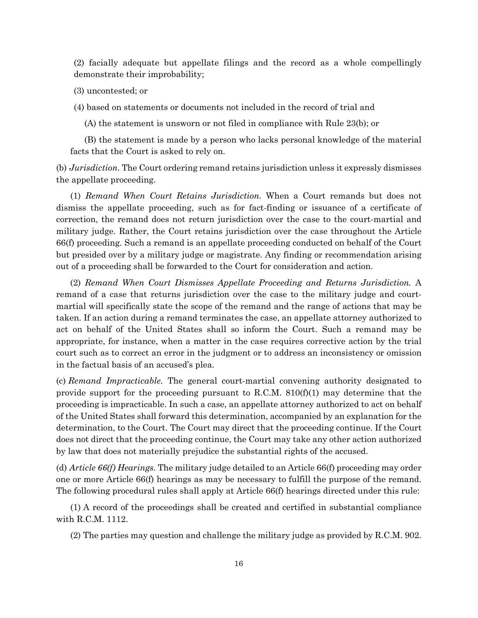(2) facially adequate but appellate filings and the record as a whole compellingly demonstrate their improbability;

(3) uncontested; or

(4) based on statements or documents not included in the record of trial and

(A) the statement is unsworn or not filed in compliance with Rule 23(b); or

(B) the statement is made by a person who lacks personal knowledge of the material facts that the Court is asked to rely on.

(b) *Jurisdiction*. The Court ordering remand retains jurisdiction unless it expressly dismisses the appellate proceeding.

(1) *Remand When Court Retains Jurisdiction.* When a Court remands but does not dismiss the appellate proceeding, such as for fact-finding or issuance of a certificate of correction, the remand does not return jurisdiction over the case to the court-martial and military judge. Rather, the Court retains jurisdiction over the case throughout the Article 66(f) proceeding. Such a remand is an appellate proceeding conducted on behalf of the Court but presided over by a military judge or magistrate. Any finding or recommendation arising out of a proceeding shall be forwarded to the Court for consideration and action.

(2) *Remand When Court Dismisses Appellate Proceeding and Returns Jurisdiction.* A remand of a case that returns jurisdiction over the case to the military judge and courtmartial will specifically state the scope of the remand and the range of actions that may be taken. If an action during a remand terminates the case, an appellate attorney authorized to act on behalf of the United States shall so inform the Court. Such a remand may be appropriate, for instance, when a matter in the case requires corrective action by the trial court such as to correct an error in the judgment or to address an inconsistency or omission in the factual basis of an accused's plea.

(c) *Remand Impracticable.* The general court-martial convening authority designated to provide support for the proceeding pursuant to R.C.M.  $810(f)(1)$  may determine that the proceeding is impracticable. In such a case, an appellate attorney authorized to act on behalf of the United States shall forward this determination, accompanied by an explanation for the determination, to the Court. The Court may direct that the proceeding continue. If the Court does not direct that the proceeding continue, the Court may take any other action authorized by law that does not materially prejudice the substantial rights of the accused.

(d) *Article 66(f) Hearings.* The military judge detailed to an Article 66(f) proceeding may order one or more Article 66(f) hearings as may be necessary to fulfill the purpose of the remand. The following procedural rules shall apply at Article 66(f) hearings directed under this rule:

(1) A record of the proceedings shall be created and certified in substantial compliance with R.C.M. 1112.

(2) The parties may question and challenge the military judge as provided by R.C.M. 902.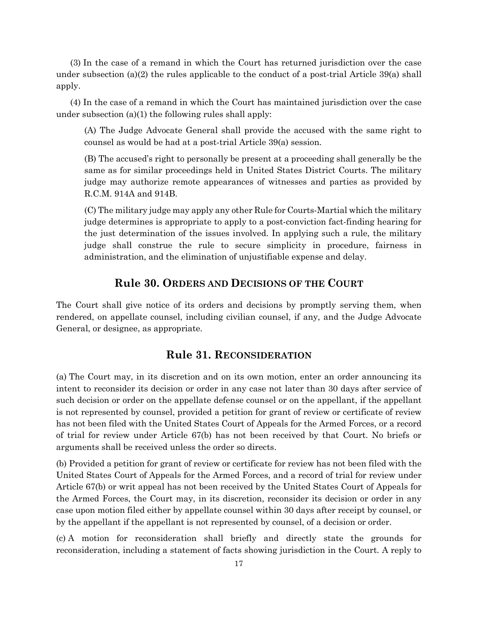(3) In the case of a remand in which the Court has returned jurisdiction over the case under subsection (a)(2) the rules applicable to the conduct of a post-trial Article  $39(a)$  shall apply.

(4) In the case of a remand in which the Court has maintained jurisdiction over the case under subsection (a)(1) the following rules shall apply:

(A) The Judge Advocate General shall provide the accused with the same right to counsel as would be had at a post-trial Article 39(a) session.

(B) The accused's right to personally be present at a proceeding shall generally be the same as for similar proceedings held in United States District Courts. The military judge may authorize remote appearances of witnesses and parties as provided by R.C.M. 914A and 914B.

(C) The military judge may apply any other Rule for Courts-Martial which the military judge determines is appropriate to apply to a post-conviction fact-finding hearing for the just determination of the issues involved. In applying such a rule, the military judge shall construe the rule to secure simplicity in procedure, fairness in administration, and the elimination of unjustifiable expense and delay.

# **Rule 30. ORDERS AND DECISIONS OF THE COURT**

<span id="page-19-0"></span>The Court shall give notice of its orders and decisions by promptly serving them, when rendered, on appellate counsel, including civilian counsel, if any, and the Judge Advocate General, or designee, as appropriate.

## **Rule 31. RECONSIDERATION**

<span id="page-19-1"></span>(a) The Court may, in its discretion and on its own motion, enter an order announcing its intent to reconsider its decision or order in any case not later than 30 days after service of such decision or order on the appellate defense counsel or on the appellant, if the appellant is not represented by counsel, provided a petition for grant of review or certificate of review has not been filed with the United States Court of Appeals for the Armed Forces, or a record of trial for review under Article 67(b) has not been received by that Court. No briefs or arguments shall be received unless the order so directs.

(b) Provided a petition for grant of review or certificate for review has not been filed with the United States Court of Appeals for the Armed Forces, and a record of trial for review under Article 67(b) or writ appeal has not been received by the United States Court of Appeals for the Armed Forces, the Court may, in its discretion, reconsider its decision or order in any case upon motion filed either by appellate counsel within 30 days after receipt by counsel, or by the appellant if the appellant is not represented by counsel, of a decision or order.

(c) A motion for reconsideration shall briefly and directly state the grounds for reconsideration, including a statement of facts showing jurisdiction in the Court. A reply to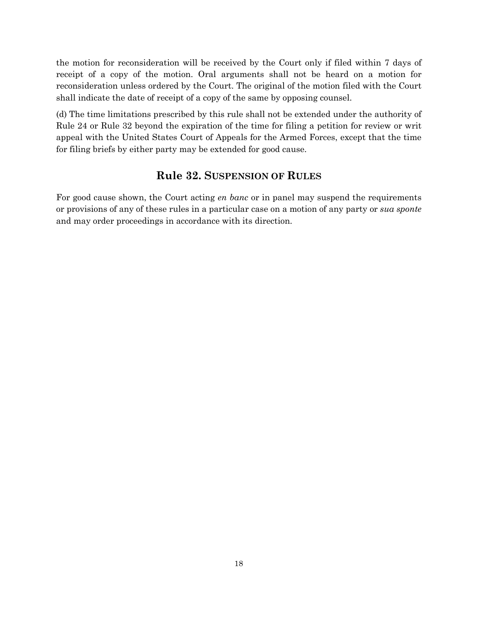the motion for reconsideration will be received by the Court only if filed within 7 days of receipt of a copy of the motion. Oral arguments shall not be heard on a motion for reconsideration unless ordered by the Court. The original of the motion filed with the Court shall indicate the date of receipt of a copy of the same by opposing counsel.

(d) The time limitations prescribed by this rule shall not be extended under the authority of Rule 24 or Rule 32 beyond the expiration of the time for filing a petition for review or writ appeal with the United States Court of Appeals for the Armed Forces, except that the time for filing briefs by either party may be extended for good cause.

## **Rule 32. SUSPENSION OF RULES**

<span id="page-20-0"></span>For good cause shown, the Court acting *en banc* or in panel may suspend the requirements or provisions of any of these rules in a particular case on a motion of any party or *sua sponte* and may order proceedings in accordance with its direction.